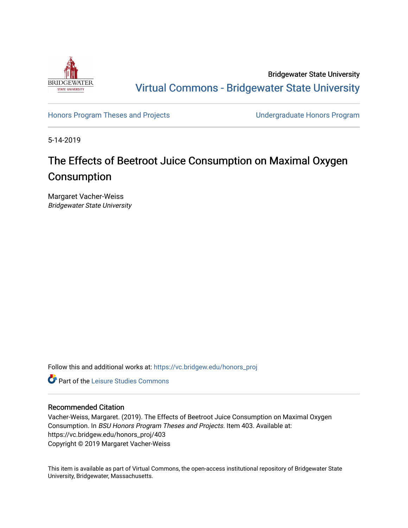

Bridgewater State University [Virtual Commons - Bridgewater State University](https://vc.bridgew.edu/) 

[Honors Program Theses and Projects](https://vc.bridgew.edu/honors_proj) [Undergraduate Honors Program](https://vc.bridgew.edu/honors) 

5-14-2019

# The Effects of Beetroot Juice Consumption on Maximal Oxygen Consumption

Margaret Vacher-Weiss Bridgewater State University

Follow this and additional works at: [https://vc.bridgew.edu/honors\\_proj](https://vc.bridgew.edu/honors_proj?utm_source=vc.bridgew.edu%2Fhonors_proj%2F403&utm_medium=PDF&utm_campaign=PDFCoverPages)



### Recommended Citation

Vacher-Weiss, Margaret. (2019). The Effects of Beetroot Juice Consumption on Maximal Oxygen Consumption. In BSU Honors Program Theses and Projects. Item 403. Available at: https://vc.bridgew.edu/honors\_proj/403 Copyright © 2019 Margaret Vacher-Weiss

This item is available as part of Virtual Commons, the open-access institutional repository of Bridgewater State University, Bridgewater, Massachusetts.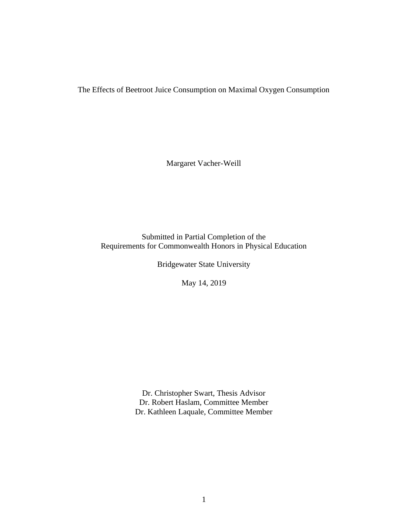The Effects of Beetroot Juice Consumption on Maximal Oxygen Consumption

Margaret Vacher-Weill

Submitted in Partial Completion of the Requirements for Commonwealth Honors in Physical Education

Bridgewater State University

May 14, 2019

Dr. Christopher Swart, Thesis Advisor Dr. Robert Haslam, Committee Member Dr. Kathleen Laquale, Committee Member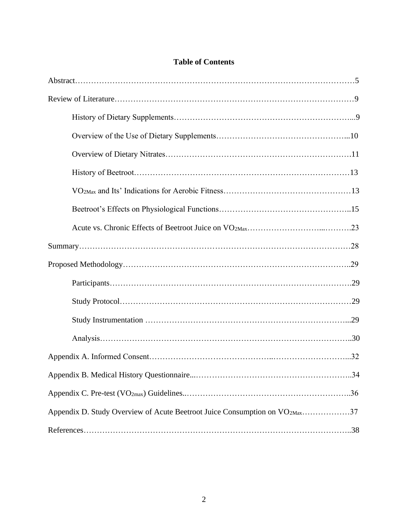| <b>Table of Contents</b> |
|--------------------------|
|--------------------------|

| Appendix D. Study Overview of Acute Beetroot Juice Consumption on VO2Max37 |
|----------------------------------------------------------------------------|
|                                                                            |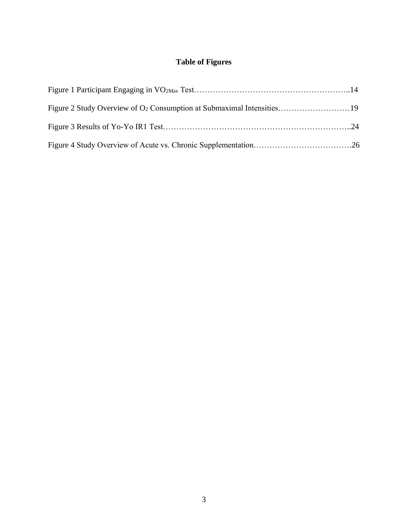# **Table of Figures**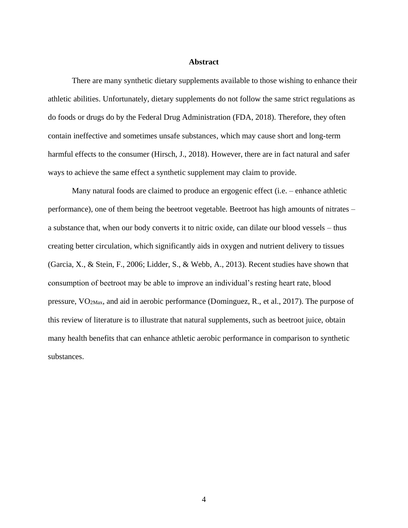#### **Abstract**

There are many synthetic dietary supplements available to those wishing to enhance their athletic abilities. Unfortunately, dietary supplements do not follow the same strict regulations as do foods or drugs do by the Federal Drug Administration (FDA, 2018). Therefore, they often contain ineffective and sometimes unsafe substances, which may cause short and long-term harmful effects to the consumer (Hirsch, J., 2018). However, there are in fact natural and safer ways to achieve the same effect a synthetic supplement may claim to provide.

Many natural foods are claimed to produce an ergogenic effect (i.e. – enhance athletic performance), one of them being the beetroot vegetable. Beetroot has high amounts of nitrates – a substance that, when our body converts it to nitric oxide, can dilate our blood vessels – thus creating better circulation, which significantly aids in oxygen and nutrient delivery to tissues (Garcia, X., & Stein, F., 2006; Lidder, S., & Webb, A., 2013). Recent studies have shown that consumption of beetroot may be able to improve an individual's resting heart rate, blood pressure, VO2Max, and aid in aerobic performance (Dominguez, R., et al., 2017). The purpose of this review of literature is to illustrate that natural supplements, such as beetroot juice, obtain many health benefits that can enhance athletic aerobic performance in comparison to synthetic substances.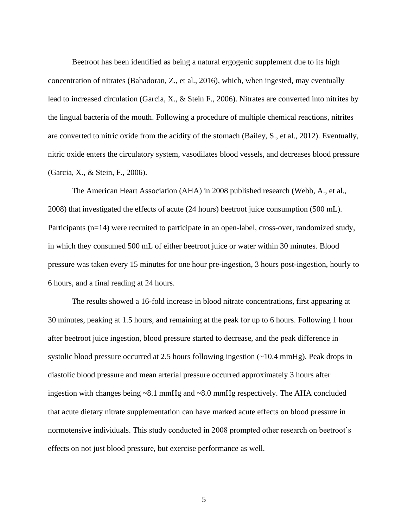Beetroot has been identified as being a natural ergogenic supplement due to its high concentration of nitrates (Bahadoran, Z., et al., 2016), which, when ingested, may eventually lead to increased circulation (Garcia, X., & Stein F., 2006). Nitrates are converted into nitrites by the lingual bacteria of the mouth. Following a procedure of multiple chemical reactions, nitrites are converted to nitric oxide from the acidity of the stomach (Bailey, S., et al., 2012). Eventually, nitric oxide enters the circulatory system, vasodilates blood vessels, and decreases blood pressure (Garcia, X., & Stein, F., 2006).

The American Heart Association (AHA) in 2008 published research (Webb, A., et al., 2008) that investigated the effects of acute (24 hours) beetroot juice consumption (500 mL). Participants (n=14) were recruited to participate in an open-label, cross-over, randomized study, in which they consumed 500 mL of either beetroot juice or water within 30 minutes. Blood pressure was taken every 15 minutes for one hour pre-ingestion, 3 hours post-ingestion, hourly to 6 hours, and a final reading at 24 hours.

The results showed a 16-fold increase in blood nitrate concentrations, first appearing at 30 minutes, peaking at 1.5 hours, and remaining at the peak for up to 6 hours. Following 1 hour after beetroot juice ingestion, blood pressure started to decrease, and the peak difference in systolic blood pressure occurred at 2.5 hours following ingestion (~10.4 mmHg). Peak drops in diastolic blood pressure and mean arterial pressure occurred approximately 3 hours after ingestion with changes being ~8.1 mmHg and ~8.0 mmHg respectively. The AHA concluded that acute dietary nitrate supplementation can have marked acute effects on blood pressure in normotensive individuals. This study conducted in 2008 prompted other research on beetroot's effects on not just blood pressure, but exercise performance as well.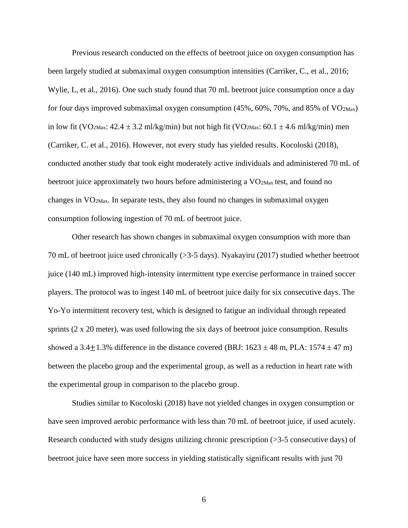Previous research conducted on the effects of beetroot juice on oxygen consumption has been largely studied at submaximal oxygen consumption intensities (Carriker, C., et al., 2016; Wylie, L, et al., 2016). One such study found that 70 mL beetroot juice consumption once a day for four days improved submaximal oxygen consumption  $(45\%, 60\%, 70\%, \text{and } 85\% \text{ of VO}_{2\text{Max}})$ in low fit (VO<sub>2Max</sub>:  $42.4 \pm 3.2$  ml/kg/min) but not high fit (VO<sub>2Max</sub>:  $60.1 \pm 4.6$  ml/kg/min) men (Carriker, C. et al., 2016). However, not every study has yielded results. Kocoloski (2018), conducted another study that took eight moderately active individuals and administered 70 mL of beetroot juice approximately two hours before administering a  $VO<sub>2Max</sub>$  test, and found no changes in VO2Max. In separate tests, they also found no changes in submaximal oxygen consumption following ingestion of 70 mL of beetroot juice.

Other research has shown changes in submaximal oxygen consumption with more than 70 mL of beetroot juice used chronically (>3-5 days). Nyakayiru (2017) studied whether beetroot juice (140 mL) improved high-intensity intermittent type exercise performance in trained soccer players. The protocol was to ingest 140 mL of beetroot juice daily for six consecutive days. The Yo-Yo intermittent recovery test, which is designed to fatigue an individual through repeated sprints (2 x 20 meter), was used following the six days of beetroot juice consumption. Results showed a 3.4 $\pm$ 1.3% difference in the distance covered (BRJ: 1623  $\pm$  48 m, PLA: 1574  $\pm$  47 m) between the placebo group and the experimental group, as well as a reduction in heart rate with the experimental group in comparison to the placebo group.

Studies similar to Kocoloski (2018) have not yielded changes in oxygen consumption or have seen improved aerobic performance with less than 70 mL of beetroot juice, if used acutely. Research conducted with study designs utilizing chronic prescription (>3-5 consecutive days) of beetroot juice have seen more success in yielding statistically significant results with just 70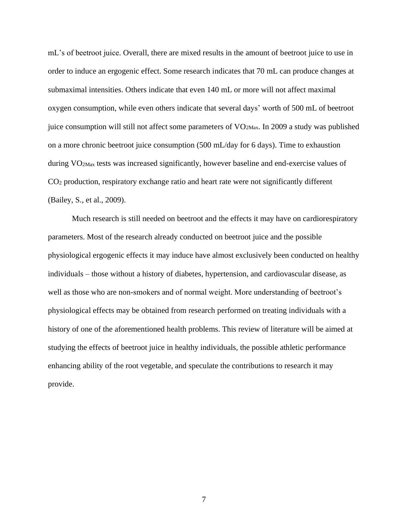mL's of beetroot juice. Overall, there are mixed results in the amount of beetroot juice to use in order to induce an ergogenic effect. Some research indicates that 70 mL can produce changes at submaximal intensities. Others indicate that even 140 mL or more will not affect maximal oxygen consumption, while even others indicate that several days' worth of 500 mL of beetroot juice consumption will still not affect some parameters of  $VO<sub>2Max</sub>$ . In 2009 a study was published on a more chronic beetroot juice consumption (500 mL/day for 6 days). Time to exhaustion during VO2Max tests was increased significantly, however baseline and end-exercise values of CO<sup>2</sup> production, respiratory exchange ratio and heart rate were not significantly different (Bailey, S., et al., 2009).

Much research is still needed on beetroot and the effects it may have on cardiorespiratory parameters. Most of the research already conducted on beetroot juice and the possible physiological ergogenic effects it may induce have almost exclusively been conducted on healthy individuals – those without a history of diabetes, hypertension, and cardiovascular disease, as well as those who are non-smokers and of normal weight. More understanding of beetroot's physiological effects may be obtained from research performed on treating individuals with a history of one of the aforementioned health problems. This review of literature will be aimed at studying the effects of beetroot juice in healthy individuals, the possible athletic performance enhancing ability of the root vegetable, and speculate the contributions to research it may provide.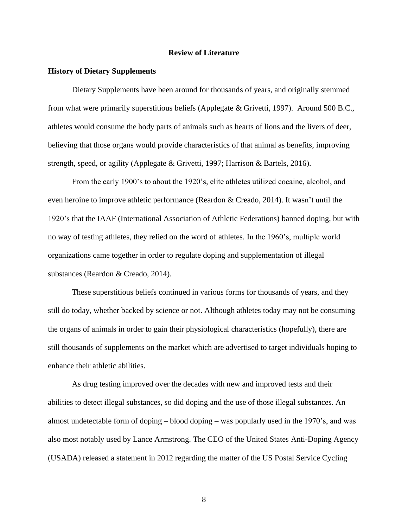#### **Review of Literature**

#### **History of Dietary Supplements**

Dietary Supplements have been around for thousands of years, and originally stemmed from what were primarily superstitious beliefs (Applegate & Grivetti, 1997). Around 500 B.C., athletes would consume the body parts of animals such as hearts of lions and the livers of deer, believing that those organs would provide characteristics of that animal as benefits, improving strength, speed, or agility (Applegate & Grivetti, 1997; Harrison & Bartels, 2016).

From the early 1900's to about the 1920's, elite athletes utilized cocaine, alcohol, and even heroine to improve athletic performance (Reardon & Creado, 2014). It wasn't until the 1920's that the IAAF (International Association of Athletic Federations) banned doping, but with no way of testing athletes, they relied on the word of athletes. In the 1960's, multiple world organizations came together in order to regulate doping and supplementation of illegal substances (Reardon & Creado, 2014).

These superstitious beliefs continued in various forms for thousands of years, and they still do today, whether backed by science or not. Although athletes today may not be consuming the organs of animals in order to gain their physiological characteristics (hopefully), there are still thousands of supplements on the market which are advertised to target individuals hoping to enhance their athletic abilities.

As drug testing improved over the decades with new and improved tests and their abilities to detect illegal substances, so did doping and the use of those illegal substances. An almost undetectable form of doping – blood doping – was popularly used in the 1970's, and was also most notably used by Lance Armstrong. The CEO of the United States Anti-Doping Agency (USADA) released a statement in 2012 regarding the matter of the US Postal Service Cycling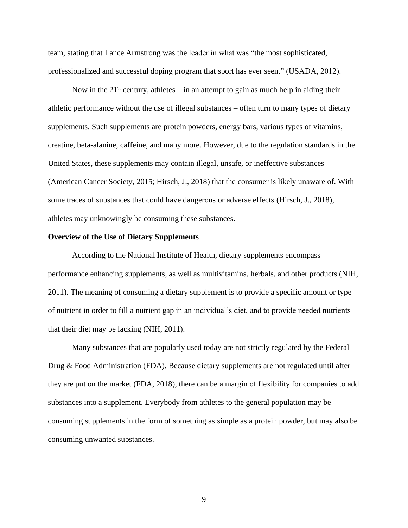team, stating that Lance Armstrong was the leader in what was "the most sophisticated, professionalized and successful doping program that sport has ever seen." (USADA, 2012).

Now in the  $21<sup>st</sup>$  century, athletes – in an attempt to gain as much help in aiding their athletic performance without the use of illegal substances – often turn to many types of dietary supplements. Such supplements are protein powders, energy bars, various types of vitamins, creatine, beta-alanine, caffeine, and many more. However, due to the regulation standards in the United States, these supplements may contain illegal, unsafe, or ineffective substances (American Cancer Society, 2015; Hirsch, J., 2018) that the consumer is likely unaware of. With some traces of substances that could have dangerous or adverse effects (Hirsch, J., 2018), athletes may unknowingly be consuming these substances.

#### **Overview of the Use of Dietary Supplements**

According to the National Institute of Health, dietary supplements encompass performance enhancing supplements, as well as multivitamins, herbals, and other products (NIH, 2011). The meaning of consuming a dietary supplement is to provide a specific amount or type of nutrient in order to fill a nutrient gap in an individual's diet, and to provide needed nutrients that their diet may be lacking (NIH, 2011).

Many substances that are popularly used today are not strictly regulated by the Federal Drug & Food Administration (FDA). Because dietary supplements are not regulated until after they are put on the market (FDA, 2018), there can be a margin of flexibility for companies to add substances into a supplement. Everybody from athletes to the general population may be consuming supplements in the form of something as simple as a protein powder, but may also be consuming unwanted substances.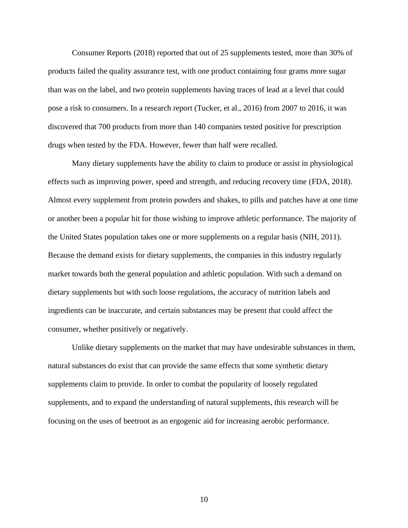Consumer Reports (2018) reported that out of 25 supplements tested, more than 30% of products failed the quality assurance test, with one product containing four grams more sugar than was on the label, and two protein supplements having traces of lead at a level that could pose a risk to consumers. In a research report (Tucker, et al., 2016) from 2007 to 2016, it was discovered that 700 products from more than 140 companies tested positive for prescription drugs when tested by the FDA. However, fewer than half were recalled.

Many dietary supplements have the ability to claim to produce or assist in physiological effects such as improving power, speed and strength, and reducing recovery time (FDA, 2018). Almost every supplement from protein powders and shakes, to pills and patches have at one time or another been a popular hit for those wishing to improve athletic performance. The majority of the United States population takes one or more supplements on a regular basis (NIH, 2011). Because the demand exists for dietary supplements, the companies in this industry regularly market towards both the general population and athletic population. With such a demand on dietary supplements but with such loose regulations, the accuracy of nutrition labels and ingredients can be inaccurate, and certain substances may be present that could affect the consumer, whether positively or negatively.

Unlike dietary supplements on the market that may have undesirable substances in them, natural substances do exist that can provide the same effects that some synthetic dietary supplements claim to provide. In order to combat the popularity of loosely regulated supplements, and to expand the understanding of natural supplements, this research will be focusing on the uses of beetroot as an ergogenic aid for increasing aerobic performance.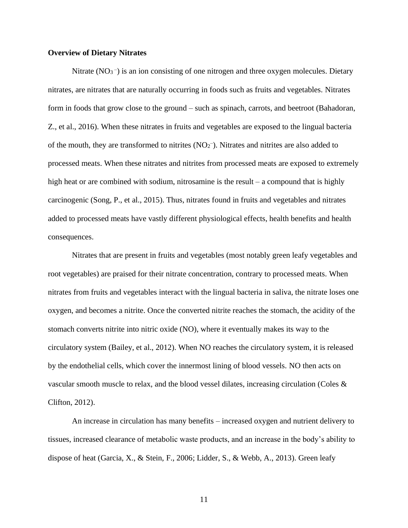#### **Overview of Dietary Nitrates**

Nitrate  $(NO<sub>3</sub>^-)$  is an ion consisting of one nitrogen and three oxygen molecules. Dietary nitrates, are nitrates that are naturally occurring in foods such as fruits and vegetables. Nitrates form in foods that grow close to the ground – such as spinach, carrots, and beetroot (Bahadoran, Z., et al., 2016). When these nitrates in fruits and vegetables are exposed to the lingual bacteria of the mouth, they are transformed to nitrites  $(NO<sub>2</sub>^{-})$ . Nitrates and nitrites are also added to processed meats. When these nitrates and nitrites from processed meats are exposed to extremely high heat or are combined with sodium, nitrosamine is the result – a compound that is highly carcinogenic (Song, P., et al., 2015). Thus, nitrates found in fruits and vegetables and nitrates added to processed meats have vastly different physiological effects, health benefits and health consequences.

Nitrates that are present in fruits and vegetables (most notably green leafy vegetables and root vegetables) are praised for their nitrate concentration, contrary to processed meats. When nitrates from fruits and vegetables interact with the lingual bacteria in saliva, the nitrate loses one oxygen, and becomes a nitrite. Once the converted nitrite reaches the stomach, the acidity of the stomach converts nitrite into nitric oxide (NO), where it eventually makes its way to the circulatory system (Bailey, et al., 2012). When NO reaches the circulatory system, it is released by the endothelial cells, which cover the innermost lining of blood vessels. NO then acts on vascular smooth muscle to relax, and the blood vessel dilates, increasing circulation (Coles & Clifton, 2012).

An increase in circulation has many benefits – increased oxygen and nutrient delivery to tissues, increased clearance of metabolic waste products, and an increase in the body's ability to dispose of heat (Garcia, X., & Stein, F., 2006; Lidder, S., & Webb, A., 2013). Green leafy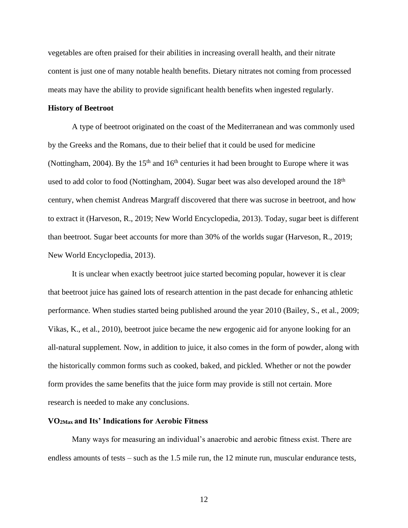vegetables are often praised for their abilities in increasing overall health, and their nitrate content is just one of many notable health benefits. Dietary nitrates not coming from processed meats may have the ability to provide significant health benefits when ingested regularly.

#### **History of Beetroot**

A type of beetroot originated on the coast of the Mediterranean and was commonly used by the Greeks and the Romans, due to their belief that it could be used for medicine (Nottingham, 2004). By the 15<sup>th</sup> and 16<sup>th</sup> centuries it had been brought to Europe where it was used to add color to food (Nottingham, 2004). Sugar beet was also developed around the 18<sup>th</sup> century, when chemist Andreas Margraff discovered that there was sucrose in beetroot, and how to extract it (Harveson, R., 2019; New World Encyclopedia, 2013). Today, sugar beet is different than beetroot. Sugar beet accounts for more than 30% of the worlds sugar (Harveson, R., 2019; New World Encyclopedia, 2013).

It is unclear when exactly beetroot juice started becoming popular, however it is clear that beetroot juice has gained lots of research attention in the past decade for enhancing athletic performance. When studies started being published around the year 2010 (Bailey, S., et al., 2009; Vikas, K., et al., 2010), beetroot juice became the new ergogenic aid for anyone looking for an all-natural supplement. Now, in addition to juice, it also comes in the form of powder, along with the historically common forms such as cooked, baked, and pickled. Whether or not the powder form provides the same benefits that the juice form may provide is still not certain. More research is needed to make any conclusions.

#### **VO2Max and Its' Indications for Aerobic Fitness**

Many ways for measuring an individual's anaerobic and aerobic fitness exist. There are endless amounts of tests – such as the 1.5 mile run, the 12 minute run, muscular endurance tests,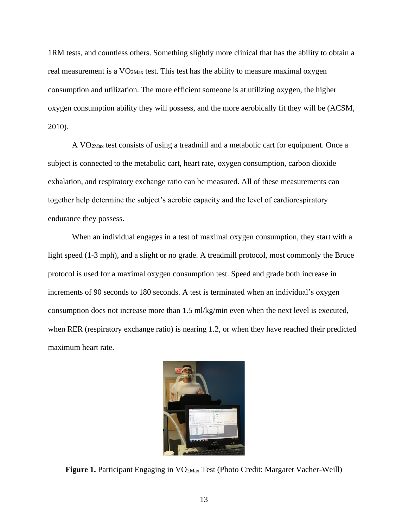1RM tests, and countless others. Something slightly more clinical that has the ability to obtain a real measurement is a  $VO<sub>2Max</sub>$  test. This test has the ability to measure maximal oxygen consumption and utilization. The more efficient someone is at utilizing oxygen, the higher oxygen consumption ability they will possess, and the more aerobically fit they will be (ACSM, 2010).

A VO2Max test consists of using a treadmill and a metabolic cart for equipment. Once a subject is connected to the metabolic cart, heart rate, oxygen consumption, carbon dioxide exhalation, and respiratory exchange ratio can be measured. All of these measurements can together help determine the subject's aerobic capacity and the level of cardiorespiratory endurance they possess.

When an individual engages in a test of maximal oxygen consumption, they start with a light speed (1-3 mph), and a slight or no grade. A treadmill protocol, most commonly the Bruce protocol is used for a maximal oxygen consumption test. Speed and grade both increase in increments of 90 seconds to 180 seconds. A test is terminated when an individual's oxygen consumption does not increase more than 1.5 ml/kg/min even when the next level is executed, when RER (respiratory exchange ratio) is nearing 1.2, or when they have reached their predicted maximum heart rate.



**Figure 1.** Participant Engaging in VO2Max Test (Photo Credit: Margaret Vacher-Weill)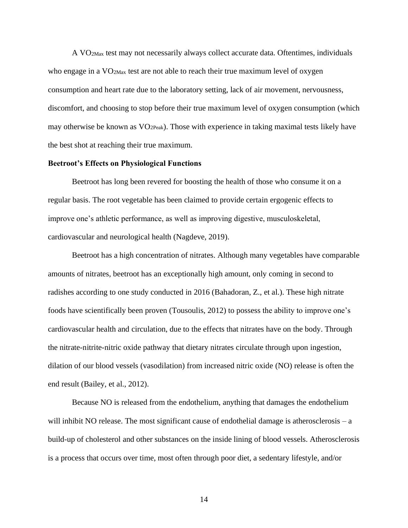A VO2Max test may not necessarily always collect accurate data. Oftentimes, individuals who engage in a  $VO<sub>2Max</sub>$  test are not able to reach their true maximum level of oxygen consumption and heart rate due to the laboratory setting, lack of air movement, nervousness, discomfort, and choosing to stop before their true maximum level of oxygen consumption (which may otherwise be known as  $VO<sub>2Peak</sub>$ ). Those with experience in taking maximal tests likely have the best shot at reaching their true maximum.

#### **Beetroot's Effects on Physiological Functions**

Beetroot has long been revered for boosting the health of those who consume it on a regular basis. The root vegetable has been claimed to provide certain ergogenic effects to improve one's athletic performance, as well as improving digestive, musculoskeletal, cardiovascular and neurological health (Nagdeve, 2019).

Beetroot has a high concentration of nitrates. Although many vegetables have comparable amounts of nitrates, beetroot has an exceptionally high amount, only coming in second to radishes according to one study conducted in 2016 (Bahadoran, Z., et al.). These high nitrate foods have scientifically been proven (Tousoulis, 2012) to possess the ability to improve one's cardiovascular health and circulation, due to the effects that nitrates have on the body. Through the nitrate-nitrite-nitric oxide pathway that dietary nitrates circulate through upon ingestion, dilation of our blood vessels (vasodilation) from increased nitric oxide (NO) release is often the end result (Bailey, et al., 2012).

Because NO is released from the endothelium, anything that damages the endothelium will inhibit NO release. The most significant cause of endothelial damage is atherosclerosis – a build-up of cholesterol and other substances on the inside lining of blood vessels. Atherosclerosis is a process that occurs over time, most often through poor diet, a sedentary lifestyle, and/or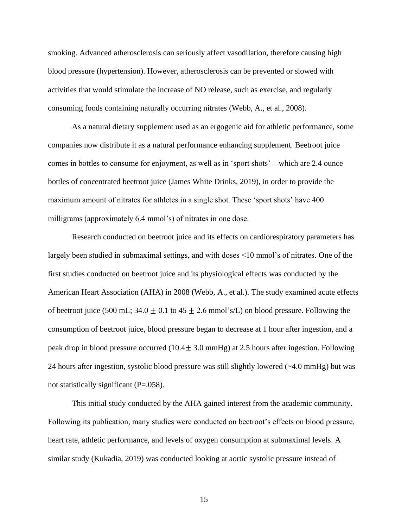smoking. Advanced atherosclerosis can seriously affect vasodilation, therefore causing high blood pressure (hypertension). However, atherosclerosis can be prevented or slowed with activities that would stimulate the increase of NO release, such as exercise, and regularly consuming foods containing naturally occurring nitrates (Webb, A., et al., 2008).

As a natural dietary supplement used as an ergogenic aid for athletic performance, some companies now distribute it as a natural performance enhancing supplement. Beetroot juice comes in bottles to consume for enjoyment, as well as in 'sport shots' – which are 2.4 ounce bottles of concentrated beetroot juice (James White Drinks, 2019), in order to provide the maximum amount of nitrates for athletes in a single shot. These 'sport shots' have 400 milligrams (approximately 6.4 mmol's) of nitrates in one dose.

Research conducted on beetroot juice and its effects on cardiorespiratory parameters has largely been studied in submaximal settings, and with doses <10 mmol's of nitrates. One of the first studies conducted on beetroot juice and its physiological effects was conducted by the American Heart Association (AHA) in 2008 (Webb, A., et al.). The study examined acute effects of beetroot juice (500 mL; 34.0  $\pm$  0.1 to 45  $\pm$  2.6 mmol's/L) on blood pressure. Following the consumption of beetroot juice, blood pressure began to decrease at 1 hour after ingestion, and a peak drop in blood pressure occurred (10.4 $\pm$  3.0 mmHg) at 2.5 hours after ingestion. Following 24 hours after ingestion, systolic blood pressure was still slightly lowered (~4.0 mmHg) but was not statistically significant (P=.058).

This initial study conducted by the AHA gained interest from the academic community. Following its publication, many studies were conducted on beetroot's effects on blood pressure, heart rate, athletic performance, and levels of oxygen consumption at submaximal levels. A similar study (Kukadia, 2019) was conducted looking at aortic systolic pressure instead of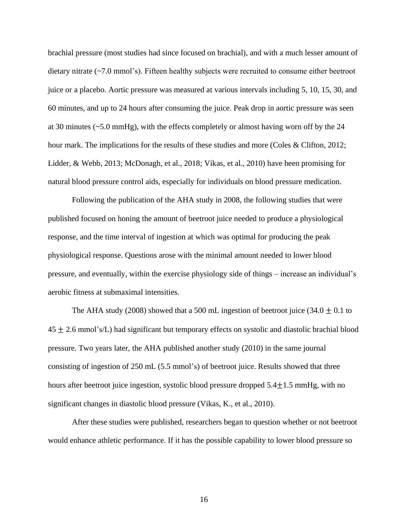brachial pressure (most studies had since focused on brachial), and with a much lesser amount of dietary nitrate (~7.0 mmol's). Fifteen healthy subjects were recruited to consume either beetroot juice or a placebo. Aortic pressure was measured at various intervals including 5, 10, 15, 30, and 60 minutes, and up to 24 hours after consuming the juice. Peak drop in aortic pressure was seen at 30 minutes (~5.0 mmHg), with the effects completely or almost having worn off by the 24 hour mark. The implications for the results of these studies and more (Coles & Clifton, 2012; Lidder, & Webb, 2013; McDonagh, et al., 2018; Vikas, et al., 2010) have been promising for natural blood pressure control aids, especially for individuals on blood pressure medication.

Following the publication of the AHA study in 2008, the following studies that were published focused on honing the amount of beetroot juice needed to produce a physiological response, and the time interval of ingestion at which was optimal for producing the peak physiological response. Questions arose with the minimal amount needed to lower blood pressure, and eventually, within the exercise physiology side of things – increase an individual's aerobic fitness at submaximal intensities.

The AHA study (2008) showed that a 500 mL ingestion of beetroot juice (34.0  $\pm$  0.1 to  $45 \pm 2.6$  mmol's/L) had significant but temporary effects on systolic and diastolic brachial blood pressure. Two years later, the AHA published another study (2010) in the same journal consisting of ingestion of 250 mL (5.5 mmol's) of beetroot juice. Results showed that three hours after beetroot juice ingestion, systolic blood pressure dropped  $5.4 \pm 1.5$  mmHg, with no significant changes in diastolic blood pressure (Vikas, K., et al., 2010).

After these studies were published, researchers began to question whether or not beetroot would enhance athletic performance. If it has the possible capability to lower blood pressure so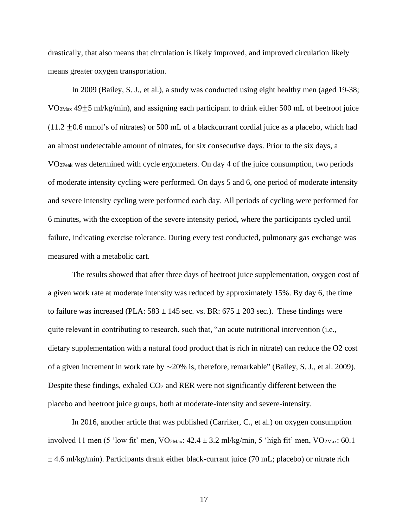drastically, that also means that circulation is likely improved, and improved circulation likely means greater oxygen transportation.

In 2009 (Bailey, S. J., et al.), a study was conducted using eight healthy men (aged 19-38;  $VO<sub>2Max</sub> 49±5 ml/kg/min$ , and assigning each participant to drink either 500 mL of beetroot juice  $(11.2 \pm 0.6$  mmol's of nitrates) or 500 mL of a blackcurrant cordial juice as a placebo, which had an almost undetectable amount of nitrates, for six consecutive days. Prior to the six days, a VO2Peak was determined with cycle ergometers. On day 4 of the juice consumption, two periods of moderate intensity cycling were performed. On days 5 and 6, one period of moderate intensity and severe intensity cycling were performed each day. All periods of cycling were performed for 6 minutes, with the exception of the severe intensity period, where the participants cycled until failure, indicating exercise tolerance. During every test conducted, pulmonary gas exchange was measured with a metabolic cart.

The results showed that after three days of beetroot juice supplementation, oxygen cost of a given work rate at moderate intensity was reduced by approximately 15%. By day 6, the time to failure was increased (PLA:  $583 \pm 145$  sec. vs. BR:  $675 \pm 203$  sec.). These findings were quite relevant in contributing to research, such that, "an acute nutritional intervention (i.e., dietary supplementation with a natural food product that is rich in nitrate) can reduce the O2 cost of a given increment in work rate by ∼20% is, therefore, remarkable" (Bailey, S. J., et al. 2009). Despite these findings, exhaled  $CO<sub>2</sub>$  and RER were not significantly different between the placebo and beetroot juice groups, both at moderate-intensity and severe-intensity.

In 2016, another article that was published (Carriker, C., et al.) on oxygen consumption involved 11 men (5 'low fit' men,  $VO_{2Max}: 42.4 \pm 3.2$  ml/kg/min, 5 'high fit' men,  $VO_{2Max}: 60.1$  $\pm$  4.6 ml/kg/min). Participants drank either black-currant juice (70 mL; placebo) or nitrate rich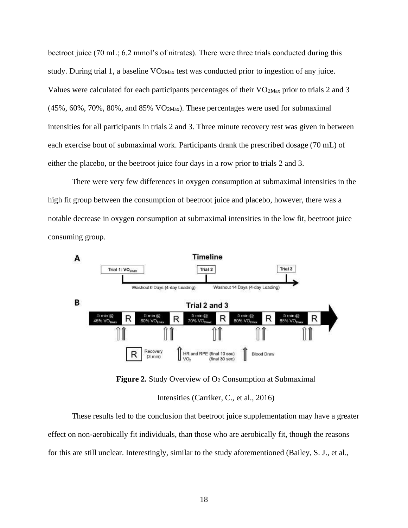beetroot juice (70 mL; 6.2 mmol's of nitrates). There were three trials conducted during this study. During trial 1, a baseline  $VO<sub>2Max</sub>$  test was conducted prior to ingestion of any juice. Values were calculated for each participants percentages of their  $VO<sub>2Max</sub>$  prior to trials 2 and 3 (45%, 60%, 70%, 80%, and 85% VO2Max). These percentages were used for submaximal intensities for all participants in trials 2 and 3. Three minute recovery rest was given in between each exercise bout of submaximal work. Participants drank the prescribed dosage (70 mL) of either the placebo, or the beetroot juice four days in a row prior to trials 2 and 3.

There were very few differences in oxygen consumption at submaximal intensities in the high fit group between the consumption of beetroot juice and placebo, however, there was a notable decrease in oxygen consumption at submaximal intensities in the low fit, beetroot juice consuming group.



**Figure 2.** Study Overview of O<sub>2</sub> Consumption at Submaximal

Intensities (Carriker, C., et al., 2016)

These results led to the conclusion that beetroot juice supplementation may have a greater effect on non-aerobically fit individuals, than those who are aerobically fit, though the reasons for this are still unclear. Interestingly, similar to the study aforementioned (Bailey, S. J., et al.,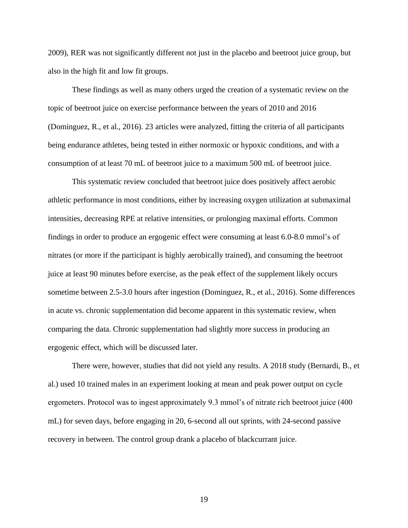2009), RER was not significantly different not just in the placebo and beetroot juice group, but also in the high fit and low fit groups.

These findings as well as many others urged the creation of a systematic review on the topic of beetroot juice on exercise performance between the years of 2010 and 2016 (Dominguez, R., et al., 2016). 23 articles were analyzed, fitting the criteria of all participants being endurance athletes, being tested in either normoxic or hypoxic conditions, and with a consumption of at least 70 mL of beetroot juice to a maximum 500 mL of beetroot juice.

This systematic review concluded that beetroot juice does positively affect aerobic athletic performance in most conditions, either by increasing oxygen utilization at submaximal intensities, decreasing RPE at relative intensities, or prolonging maximal efforts. Common findings in order to produce an ergogenic effect were consuming at least 6.0-8.0 mmol's of nitrates (or more if the participant is highly aerobically trained), and consuming the beetroot juice at least 90 minutes before exercise, as the peak effect of the supplement likely occurs sometime between 2.5-3.0 hours after ingestion (Dominguez, R., et al., 2016). Some differences in acute vs. chronic supplementation did become apparent in this systematic review, when comparing the data. Chronic supplementation had slightly more success in producing an ergogenic effect, which will be discussed later.

There were, however, studies that did not yield any results. A 2018 study (Bernardi, B., et al.) used 10 trained males in an experiment looking at mean and peak power output on cycle ergometers. Protocol was to ingest approximately 9.3 mmol's of nitrate rich beetroot juice (400 mL) for seven days, before engaging in 20, 6-second all out sprints, with 24-second passive recovery in between. The control group drank a placebo of blackcurrant juice.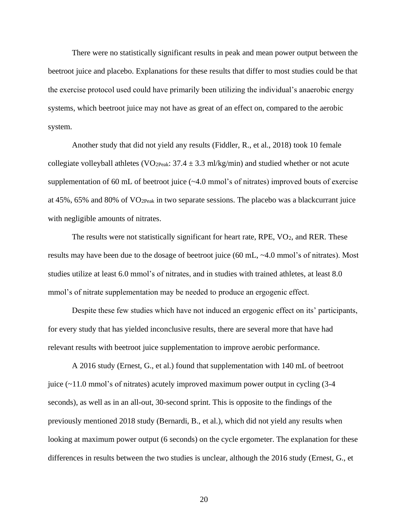There were no statistically significant results in peak and mean power output between the beetroot juice and placebo. Explanations for these results that differ to most studies could be that the exercise protocol used could have primarily been utilizing the individual's anaerobic energy systems, which beetroot juice may not have as great of an effect on, compared to the aerobic system.

Another study that did not yield any results (Fiddler, R., et al., 2018) took 10 female collegiate volleyball athletes (VO<sub>2Peak</sub>:  $37.4 \pm 3.3$  ml/kg/min) and studied whether or not acute supplementation of 60 mL of beetroot juice (~4.0 mmol's of nitrates) improved bouts of exercise at 45%, 65% and 80% of VO2Peak in two separate sessions. The placebo was a blackcurrant juice with negligible amounts of nitrates.

The results were not statistically significant for heart rate,  $RPE$ ,  $VO<sub>2</sub>$ , and RER. These results may have been due to the dosage of beetroot juice (60 mL, ~4.0 mmol's of nitrates). Most studies utilize at least 6.0 mmol's of nitrates, and in studies with trained athletes, at least 8.0 mmol's of nitrate supplementation may be needed to produce an ergogenic effect.

Despite these few studies which have not induced an ergogenic effect on its' participants, for every study that has yielded inconclusive results, there are several more that have had relevant results with beetroot juice supplementation to improve aerobic performance.

A 2016 study (Ernest, G., et al.) found that supplementation with 140 mL of beetroot juice (~11.0 mmol's of nitrates) acutely improved maximum power output in cycling (3-4 seconds), as well as in an all-out, 30-second sprint. This is opposite to the findings of the previously mentioned 2018 study (Bernardi, B., et al.), which did not yield any results when looking at maximum power output (6 seconds) on the cycle ergometer. The explanation for these differences in results between the two studies is unclear, although the 2016 study (Ernest, G., et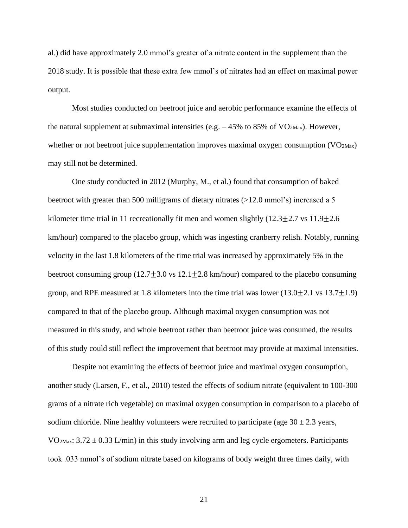al.) did have approximately 2.0 mmol's greater of a nitrate content in the supplement than the 2018 study. It is possible that these extra few mmol's of nitrates had an effect on maximal power output.

Most studies conducted on beetroot juice and aerobic performance examine the effects of the natural supplement at submaximal intensities (e.g.  $-45\%$  to 85% of VO<sub>2Max</sub>). However, whether or not beetroot juice supplementation improves maximal oxygen consumption  $(VO<sub>2Max</sub>)$ may still not be determined.

One study conducted in 2012 (Murphy, M., et al.) found that consumption of baked beetroot with greater than 500 milligrams of dietary nitrates (>12.0 mmol's) increased a 5 kilometer time trial in 11 recreationally fit men and women slightly  $(12.3 \pm 2.7 \text{ vs } 11.9 \pm 2.6 \text{ m})$ km/hour) compared to the placebo group, which was ingesting cranberry relish. Notably, running velocity in the last 1.8 kilometers of the time trial was increased by approximately 5% in the beetroot consuming group  $(12.7\pm3.0 \text{ vs } 12.1\pm2.8 \text{ km/hour})$  compared to the placebo consuming group, and RPE measured at 1.8 kilometers into the time trial was lower  $(13.0 \pm 2.1 \text{ vs } 13.7 \pm 1.9)$ compared to that of the placebo group. Although maximal oxygen consumption was not measured in this study, and whole beetroot rather than beetroot juice was consumed, the results of this study could still reflect the improvement that beetroot may provide at maximal intensities.

Despite not examining the effects of beetroot juice and maximal oxygen consumption, another study (Larsen, F., et al., 2010) tested the effects of sodium nitrate (equivalent to 100-300 grams of a nitrate rich vegetable) on maximal oxygen consumption in comparison to a placebo of sodium chloride. Nine healthy volunteers were recruited to participate (age  $30 \pm 2.3$  years, VO<sub>2Max</sub>:  $3.72 \pm 0.33$  L/min) in this study involving arm and leg cycle ergometers. Participants took .033 mmol's of sodium nitrate based on kilograms of body weight three times daily, with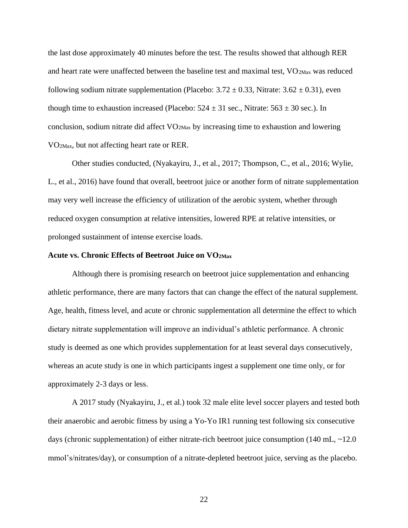the last dose approximately 40 minutes before the test. The results showed that although RER and heart rate were unaffected between the baseline test and maximal test,  $VO<sub>2Max</sub>$  was reduced following sodium nitrate supplementation (Placebo:  $3.72 \pm 0.33$ , Nitrate:  $3.62 \pm 0.31$ ), even though time to exhaustion increased (Placebo:  $524 \pm 31$  sec., Nitrate:  $563 \pm 30$  sec.). In conclusion, sodium nitrate did affect  $VO<sub>2Max</sub>$  by increasing time to exhaustion and lowering VO2Max, but not affecting heart rate or RER.

Other studies conducted, (Nyakayiru, J., et al., 2017; Thompson, C., et al., 2016; Wylie, L., et al., 2016) have found that overall, beetroot juice or another form of nitrate supplementation may very well increase the efficiency of utilization of the aerobic system, whether through reduced oxygen consumption at relative intensities, lowered RPE at relative intensities, or prolonged sustainment of intense exercise loads.

#### **Acute vs. Chronic Effects of Beetroot Juice on VO2Max**

Although there is promising research on beetroot juice supplementation and enhancing athletic performance, there are many factors that can change the effect of the natural supplement. Age, health, fitness level, and acute or chronic supplementation all determine the effect to which dietary nitrate supplementation will improve an individual's athletic performance. A chronic study is deemed as one which provides supplementation for at least several days consecutively, whereas an acute study is one in which participants ingest a supplement one time only, or for approximately 2-3 days or less.

A 2017 study (Nyakayiru, J., et al.) took 32 male elite level soccer players and tested both their anaerobic and aerobic fitness by using a Yo-Yo IR1 running test following six consecutive days (chronic supplementation) of either nitrate-rich beetroot juice consumption (140 mL, ~12.0) mmol's/nitrates/day), or consumption of a nitrate-depleted beetroot juice, serving as the placebo.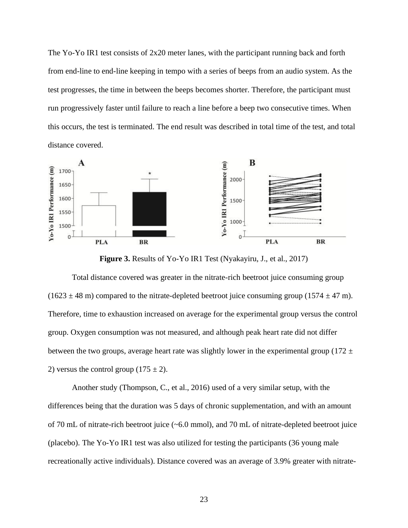The Yo-Yo IR1 test consists of 2x20 meter lanes, with the participant running back and forth from end-line to end-line keeping in tempo with a series of beeps from an audio system. As the test progresses, the time in between the beeps becomes shorter. Therefore, the participant must run progressively faster until failure to reach a line before a beep two consecutive times. When this occurs, the test is terminated. The end result was described in total time of the test, and total distance covered.



**Figure 3.** Results of Yo-Yo IR1 Test (Nyakayiru, J., et al., 2017)

Total distance covered was greater in the nitrate-rich beetroot juice consuming group  $(1623 \pm 48 \text{ m})$  compared to the nitrate-depleted beetroot juice consuming group  $(1574 \pm 47 \text{ m})$ . Therefore, time to exhaustion increased on average for the experimental group versus the control group. Oxygen consumption was not measured, and although peak heart rate did not differ between the two groups, average heart rate was slightly lower in the experimental group (172  $\pm$ 2) versus the control group  $(175 \pm 2)$ .

Another study (Thompson, C., et al., 2016) used of a very similar setup, with the differences being that the duration was 5 days of chronic supplementation, and with an amount of 70 mL of nitrate-rich beetroot juice (~6.0 mmol), and 70 mL of nitrate-depleted beetroot juice (placebo). The Yo-Yo IR1 test was also utilized for testing the participants (36 young male recreationally active individuals). Distance covered was an average of 3.9% greater with nitrate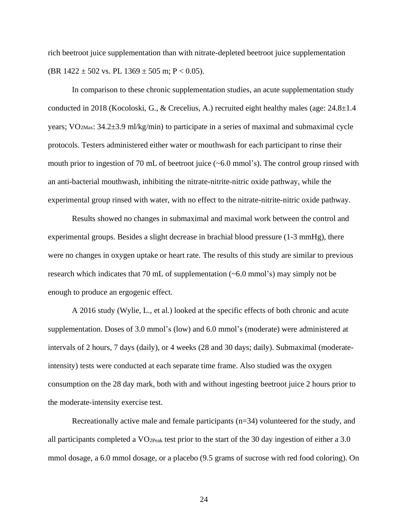rich beetroot juice supplementation than with nitrate-depleted beetroot juice supplementation (BR  $1422 \pm 502$  vs. PL  $1369 \pm 505$  m; P < 0.05).

In comparison to these chronic supplementation studies, an acute supplementation study conducted in 2018 (Kocoloski, G., & Crecelius, A.) recruited eight healthy males (age: 24.8±1.4 years; VO2Max: 34.2±3.9 ml/kg/min) to participate in a series of maximal and submaximal cycle protocols. Testers administered either water or mouthwash for each participant to rinse their mouth prior to ingestion of 70 mL of beetroot juice  $(\sim 6.0 \text{ mmol's})$ . The control group rinsed with an anti-bacterial mouthwash, inhibiting the nitrate-nitrite-nitric oxide pathway, while the experimental group rinsed with water, with no effect to the nitrate-nitrite-nitric oxide pathway.

Results showed no changes in submaximal and maximal work between the control and experimental groups. Besides a slight decrease in brachial blood pressure (1-3 mmHg), there were no changes in oxygen uptake or heart rate. The results of this study are similar to previous research which indicates that 70 mL of supplementation (~6.0 mmol's) may simply not be enough to produce an ergogenic effect.

A 2016 study (Wylie, L., et al.) looked at the specific effects of both chronic and acute supplementation. Doses of 3.0 mmol's (low) and 6.0 mmol's (moderate) were administered at intervals of 2 hours, 7 days (daily), or 4 weeks (28 and 30 days; daily). Submaximal (moderateintensity) tests were conducted at each separate time frame. Also studied was the oxygen consumption on the 28 day mark, both with and without ingesting beetroot juice 2 hours prior to the moderate-intensity exercise test.

Recreationally active male and female participants  $(n=34)$  volunteered for the study, and all participants completed a VO2Peak test prior to the start of the 30 day ingestion of either a 3.0 mmol dosage, a 6.0 mmol dosage, or a placebo (9.5 grams of sucrose with red food coloring). On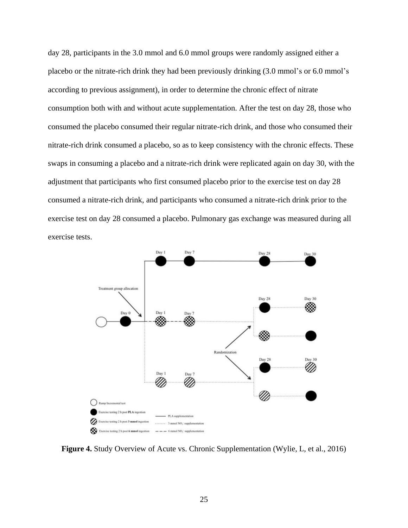day 28, participants in the 3.0 mmol and 6.0 mmol groups were randomly assigned either a placebo or the nitrate-rich drink they had been previously drinking (3.0 mmol's or 6.0 mmol's according to previous assignment), in order to determine the chronic effect of nitrate consumption both with and without acute supplementation. After the test on day 28, those who consumed the placebo consumed their regular nitrate-rich drink, and those who consumed their nitrate-rich drink consumed a placebo, so as to keep consistency with the chronic effects. These swaps in consuming a placebo and a nitrate-rich drink were replicated again on day 30, with the adjustment that participants who first consumed placebo prior to the exercise test on day 28 consumed a nitrate-rich drink, and participants who consumed a nitrate-rich drink prior to the exercise test on day 28 consumed a placebo. Pulmonary gas exchange was measured during all exercise tests.



**Figure 4.** Study Overview of Acute vs. Chronic Supplementation (Wylie, L, et al., 2016)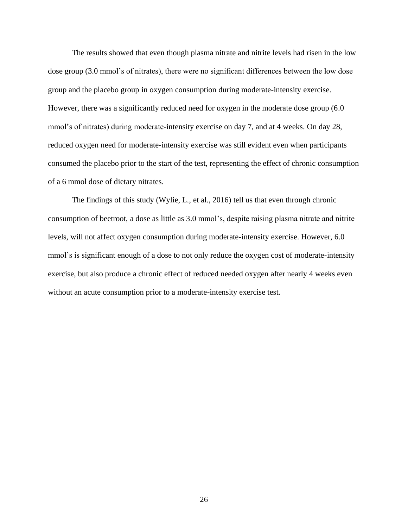The results showed that even though plasma nitrate and nitrite levels had risen in the low dose group (3.0 mmol's of nitrates), there were no significant differences between the low dose group and the placebo group in oxygen consumption during moderate-intensity exercise. However, there was a significantly reduced need for oxygen in the moderate dose group (6.0 mmol's of nitrates) during moderate-intensity exercise on day 7, and at 4 weeks. On day 28, reduced oxygen need for moderate-intensity exercise was still evident even when participants consumed the placebo prior to the start of the test, representing the effect of chronic consumption of a 6 mmol dose of dietary nitrates.

The findings of this study (Wylie, L., et al., 2016) tell us that even through chronic consumption of beetroot, a dose as little as 3.0 mmol's, despite raising plasma nitrate and nitrite levels, will not affect oxygen consumption during moderate-intensity exercise. However, 6.0 mmol's is significant enough of a dose to not only reduce the oxygen cost of moderate-intensity exercise, but also produce a chronic effect of reduced needed oxygen after nearly 4 weeks even without an acute consumption prior to a moderate-intensity exercise test.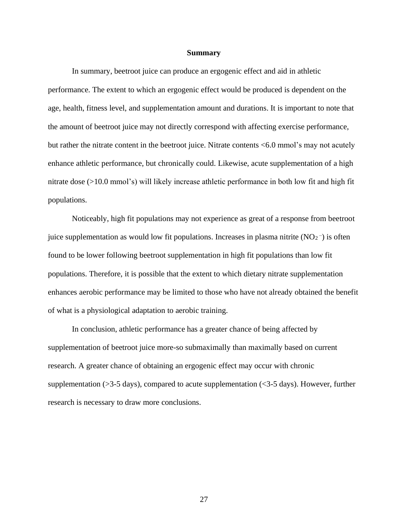#### **Summary**

In summary, beetroot juice can produce an ergogenic effect and aid in athletic performance. The extent to which an ergogenic effect would be produced is dependent on the age, health, fitness level, and supplementation amount and durations. It is important to note that the amount of beetroot juice may not directly correspond with affecting exercise performance, but rather the nitrate content in the beetroot juice. Nitrate contents <6.0 mmol's may not acutely enhance athletic performance, but chronically could. Likewise, acute supplementation of a high nitrate dose (>10.0 mmol's) will likely increase athletic performance in both low fit and high fit populations.

Noticeably, high fit populations may not experience as great of a response from beetroot juice supplementation as would low fit populations. Increases in plasma nitrite  $(NO<sub>2</sub>^-)$  is often found to be lower following beetroot supplementation in high fit populations than low fit populations. Therefore, it is possible that the extent to which dietary nitrate supplementation enhances aerobic performance may be limited to those who have not already obtained the benefit of what is a physiological adaptation to aerobic training.

In conclusion, athletic performance has a greater chance of being affected by supplementation of beetroot juice more-so submaximally than maximally based on current research. A greater chance of obtaining an ergogenic effect may occur with chronic supplementation ( $>3-5$  days), compared to acute supplementation ( $<3-5$  days). However, further research is necessary to draw more conclusions.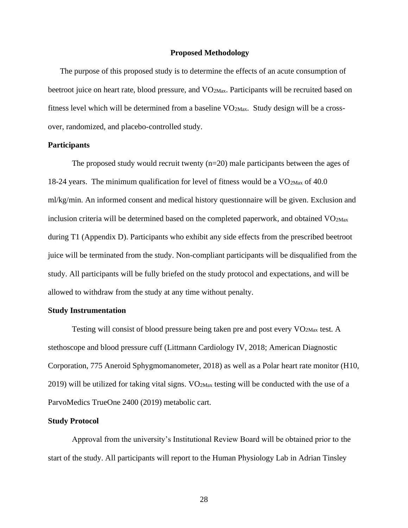#### **Proposed Methodology**

The purpose of this proposed study is to determine the effects of an acute consumption of beetroot juice on heart rate, blood pressure, and VO2Max. Participants will be recruited based on fitness level which will be determined from a baseline VO2Max. Study design will be a crossover, randomized, and placebo-controlled study.

#### **Participants**

The proposed study would recruit twenty  $(n=20)$  male participants between the ages of 18-24 years. The minimum qualification for level of fitness would be a  $VO<sub>2Max</sub>$  of 40.0 ml/kg/min. An informed consent and medical history questionnaire will be given. Exclusion and inclusion criteria will be determined based on the completed paperwork, and obtained  $VO<sub>2Max</sub>$ during T1 (Appendix D). Participants who exhibit any side effects from the prescribed beetroot juice will be terminated from the study. Non-compliant participants will be disqualified from the study. All participants will be fully briefed on the study protocol and expectations, and will be allowed to withdraw from the study at any time without penalty.

#### **Study Instrumentation**

Testing will consist of blood pressure being taken pre and post every  $VO<sub>2Max</sub>$  test. A stethoscope and blood pressure cuff (Littmann Cardiology IV, 2018; American Diagnostic Corporation, 775 Aneroid Sphygmomanometer, 2018) as well as a Polar heart rate monitor (H10, 2019) will be utilized for taking vital signs. VO2Max testing will be conducted with the use of a ParvoMedics TrueOne 2400 (2019) metabolic cart.

#### **Study Protocol**

Approval from the university's Institutional Review Board will be obtained prior to the start of the study. All participants will report to the Human Physiology Lab in Adrian Tinsley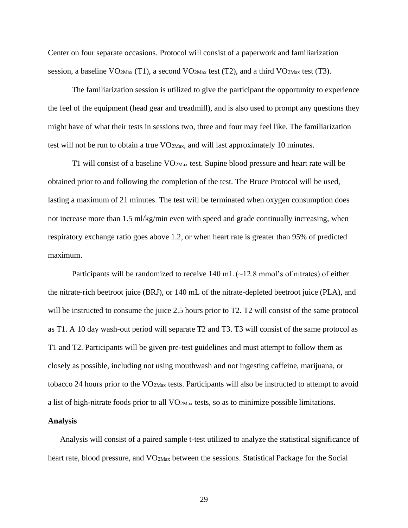Center on four separate occasions. Protocol will consist of a paperwork and familiarization session, a baseline  $VO_{2Max}$  (T1), a second  $VO_{2Max}$  test (T2), and a third  $VO_{2Max}$  test (T3).

The familiarization session is utilized to give the participant the opportunity to experience the feel of the equipment (head gear and treadmill), and is also used to prompt any questions they might have of what their tests in sessions two, three and four may feel like. The familiarization test will not be run to obtain a true  $VO<sub>2Max</sub>$ , and will last approximately 10 minutes.

T1 will consist of a baseline  $VO<sub>2Max</sub>$  test. Supine blood pressure and heart rate will be obtained prior to and following the completion of the test. The Bruce Protocol will be used, lasting a maximum of 21 minutes. The test will be terminated when oxygen consumption does not increase more than 1.5 ml/kg/min even with speed and grade continually increasing, when respiratory exchange ratio goes above 1.2, or when heart rate is greater than 95% of predicted maximum.

Participants will be randomized to receive 140 mL  $\left(\sim 12.8 \text{ mmol's of nitrates}\right)$  of either the nitrate-rich beetroot juice (BRJ), or 140 mL of the nitrate-depleted beetroot juice (PLA), and will be instructed to consume the juice 2.5 hours prior to T2. T2 will consist of the same protocol as T1. A 10 day wash-out period will separate T2 and T3. T3 will consist of the same protocol as T1 and T2. Participants will be given pre-test guidelines and must attempt to follow them as closely as possible, including not using mouthwash and not ingesting caffeine, marijuana, or tobacco 24 hours prior to the VO2Max tests. Participants will also be instructed to attempt to avoid a list of high-nitrate foods prior to all VO<sub>2Max</sub> tests, so as to minimize possible limitations.

#### **Analysis**

Analysis will consist of a paired sample t-test utilized to analyze the statistical significance of heart rate, blood pressure, and VO<sub>2Max</sub> between the sessions. Statistical Package for the Social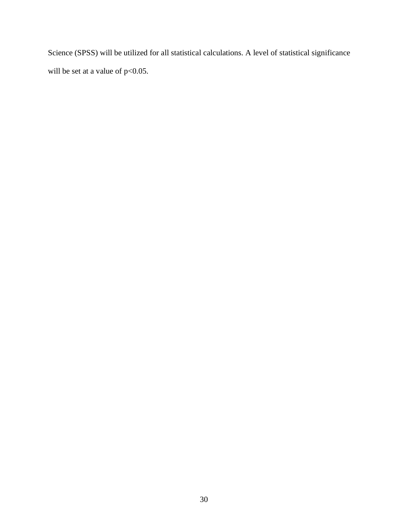Science (SPSS) will be utilized for all statistical calculations. A level of statistical significance will be set at a value of  $p<0.05$ .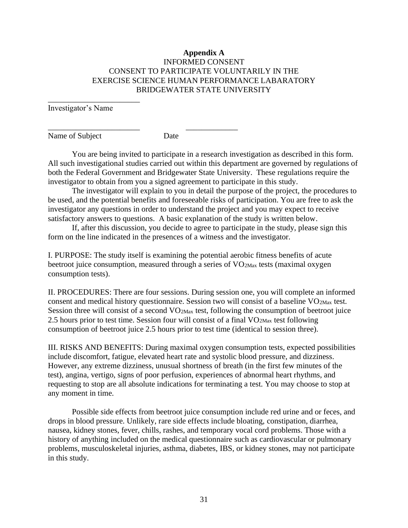# **Appendix A** INFORMED CONSENT CONSENT TO PARTICIPATE VOLUNTARILY IN THE EXERCISE SCIENCE HUMAN PERFORMANCE LABARATORY BRIDGEWATER STATE UNIVERSITY

Investigator's Name

\_\_\_\_\_\_\_\_\_\_\_\_\_\_\_\_\_\_\_\_\_\_\_

Name of Subject Date

\_\_\_\_\_\_\_\_\_\_\_\_\_\_\_\_\_\_\_\_\_\_\_ \_\_\_\_\_\_\_\_\_\_\_\_\_

You are being invited to participate in a research investigation as described in this form. All such investigational studies carried out within this department are governed by regulations of both the Federal Government and Bridgewater State University. These regulations require the investigator to obtain from you a signed agreement to participate in this study.

The investigator will explain to you in detail the purpose of the project, the procedures to be used, and the potential benefits and foreseeable risks of participation. You are free to ask the investigator any questions in order to understand the project and you may expect to receive satisfactory answers to questions. A basic explanation of the study is written below.

If, after this discussion, you decide to agree to participate in the study, please sign this form on the line indicated in the presences of a witness and the investigator.

I. PURPOSE: The study itself is examining the potential aerobic fitness benefits of acute beetroot juice consumption, measured through a series of VO<sub>2Max</sub> tests (maximal oxygen consumption tests).

II. PROCEDURES: There are four sessions. During session one, you will complete an informed consent and medical history questionnaire. Session two will consist of a baseline VO2Max test. Session three will consist of a second  $VO<sub>2Max</sub>$  test, following the consumption of beetroot juice 2.5 hours prior to test time. Session four will consist of a final  $VO<sub>2Max</sub>$  test following consumption of beetroot juice 2.5 hours prior to test time (identical to session three).

III. RISKS AND BENEFITS: During maximal oxygen consumption tests, expected possibilities include discomfort, fatigue, elevated heart rate and systolic blood pressure, and dizziness. However, any extreme dizziness, unusual shortness of breath (in the first few minutes of the test), angina, vertigo, signs of poor perfusion, experiences of abnormal heart rhythms, and requesting to stop are all absolute indications for terminating a test. You may choose to stop at any moment in time.

Possible side effects from beetroot juice consumption include red urine and or feces, and drops in blood pressure. Unlikely, rare side effects include bloating, constipation, diarrhea, nausea, kidney stones, fever, chills, rashes, and temporary vocal cord problems. Those with a history of anything included on the medical questionnaire such as cardiovascular or pulmonary problems, musculoskeletal injuries, asthma, diabetes, IBS, or kidney stones, may not participate in this study.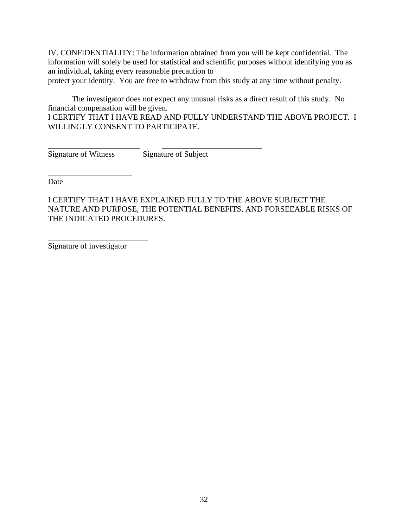IV. CONFIDENTIALITY: The information obtained from you will be kept confidential. The information will solely be used for statistical and scientific purposes without identifying you as an individual, taking every reasonable precaution to

protect your identity. You are free to withdraw from this study at any time without penalty.

The investigator does not expect any unusual risks as a direct result of this study. No financial compensation will be given.

I CERTIFY THAT I HAVE READ AND FULLY UNDERSTAND THE ABOVE PROJECT. I WILLINGLY CONSENT TO PARTICIPATE.

Signature of Witness Signature of Subject

\_\_\_\_\_\_\_\_\_\_\_\_\_\_\_\_\_\_\_\_\_\_\_ \_\_\_\_\_\_\_\_\_\_\_\_\_\_\_\_\_\_\_\_\_\_\_\_\_

Date

I CERTIFY THAT I HAVE EXPLAINED FULLY TO THE ABOVE SUBJECT THE NATURE AND PURPOSE, THE POTENTIAL BENEFITS, AND FORSEEABLE RISKS OF THE INDICATED PROCEDURES.

Signature of investigator

\_\_\_\_\_\_\_\_\_\_\_\_\_\_\_\_\_\_\_\_\_\_\_\_\_

\_\_\_\_\_\_\_\_\_\_\_\_\_\_\_\_\_\_\_\_\_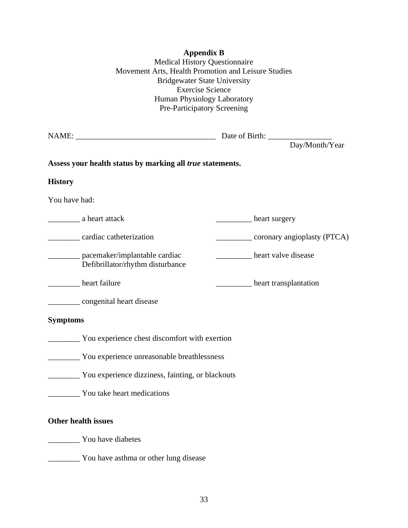| <b>Appendix B</b><br><b>Medical History Questionnaire</b><br>Movement Arts, Health Promotion and Leisure Studies<br><b>Bridgewater State University</b><br><b>Exercise Science</b><br>Human Physiology Laboratory<br>Pre-Participatory Screening |                                        |
|--------------------------------------------------------------------------------------------------------------------------------------------------------------------------------------------------------------------------------------------------|----------------------------------------|
|                                                                                                                                                                                                                                                  | Date of Birth:<br>Day/Month/Year       |
| Assess your health status by marking all <i>true</i> statements.                                                                                                                                                                                 |                                        |
| <b>History</b>                                                                                                                                                                                                                                   |                                        |
| You have had:                                                                                                                                                                                                                                    |                                        |
| a heart attack                                                                                                                                                                                                                                   | heart surgery                          |
| cardiac catheterization                                                                                                                                                                                                                          | coronary angioplasty (PTCA)            |
| ______ pacemaker/implantable cardiac<br>Defibrillator/rhythm disturbance                                                                                                                                                                         | heart valve disease                    |
| heart failure                                                                                                                                                                                                                                    | <b>Example 2</b> heart transplantation |
| congenital heart disease                                                                                                                                                                                                                         |                                        |
| <b>Symptoms</b>                                                                                                                                                                                                                                  |                                        |
| You experience chest discomfort with exertion                                                                                                                                                                                                    |                                        |
| You experience unreasonable breathlessness                                                                                                                                                                                                       |                                        |
| You experience dizziness, fainting, or blackouts                                                                                                                                                                                                 |                                        |
| You take heart medications                                                                                                                                                                                                                       |                                        |

# **Other health issues**

\_\_\_\_\_\_\_\_ You have diabetes

\_\_\_\_\_\_\_\_ You have asthma or other lung disease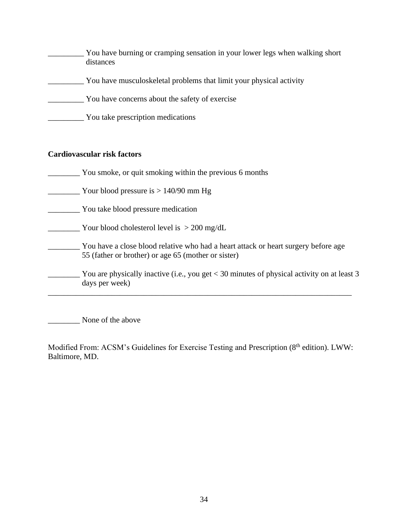| You have burning or cramping sensation in your lower legs when walking short<br>distances |
|-------------------------------------------------------------------------------------------|
| You have musculoskeletal problems that limit your physical activity                       |
| You have concerns about the safety of exercise                                            |
| You take prescription medications                                                         |

# **Cardiovascular risk factors**

\_\_\_\_\_\_\_\_ You smoke, or quit smoking within the previous 6 months

 $\frac{1}{2}$  Your blood pressure is  $> 140/90$  mm Hg

\_\_\_\_\_\_\_\_ You take blood pressure medication

 $\frac{1}{2}$  Your blood cholesterol level is  $> 200$  mg/dL

- \_\_\_\_\_\_\_\_ You have a close blood relative who had a heart attack or heart surgery before age 55 (father or brother) or age 65 (mother or sister)
- \_\_\_\_\_\_\_\_ You are physically inactive (i.e., you get < 30 minutes of physical activity on at least 3 days per week)

\_\_\_\_\_\_\_\_\_\_\_\_\_\_\_\_\_\_\_\_\_\_\_\_\_\_\_\_\_\_\_\_\_\_\_\_\_\_\_\_\_\_\_\_\_\_\_\_\_\_\_\_\_\_\_\_\_\_\_\_\_\_\_\_\_\_\_\_\_\_\_\_\_\_\_\_

None of the above

Modified From: ACSM's Guidelines for Exercise Testing and Prescription (8<sup>th</sup> edition). LWW: Baltimore, MD.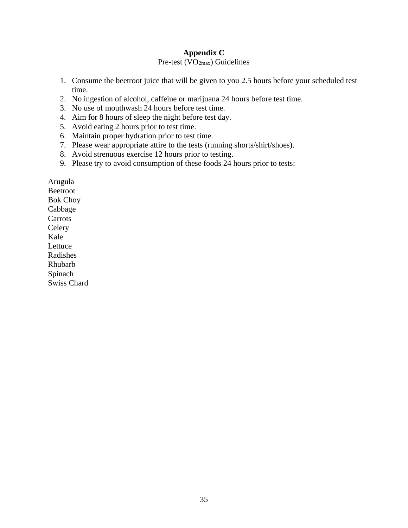# **Appendix C**

## Pre-test (VO2max) Guidelines

- 1. Consume the beetroot juice that will be given to you 2.5 hours before your scheduled test time.
- 2. No ingestion of alcohol, caffeine or marijuana 24 hours before test time.
- 3. No use of mouthwash 24 hours before test time.
- 4. Aim for 8 hours of sleep the night before test day.
- 5. Avoid eating 2 hours prior to test time.
- 6. Maintain proper hydration prior to test time.
- 7. Please wear appropriate attire to the tests (running shorts/shirt/shoes).
- 8. Avoid strenuous exercise 12 hours prior to testing.
- 9. Please try to avoid consumption of these foods 24 hours prior to tests:

Arugula Beetroot Bok Choy Cabbage **Carrots Celery** Kale Lettuce Radishes Rhubarb Spinach Swiss Chard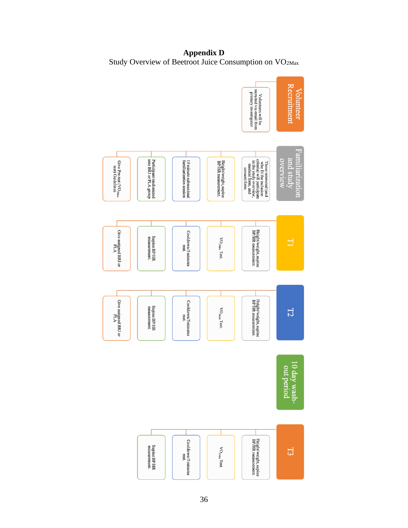**Appendix D** Study Overview of Beetroot Juice Consumption on VO2Max

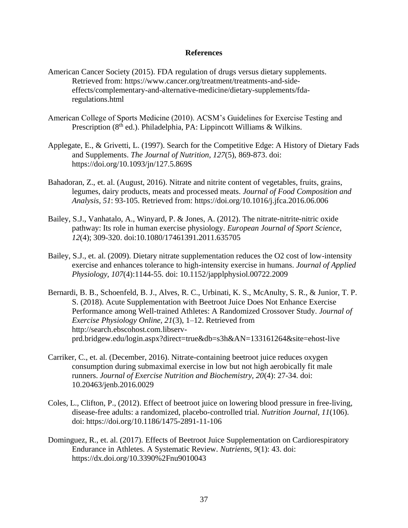### **References**

- American Cancer Society (2015). FDA regulation of drugs versus dietary supplements. Retrieved from: https://www.cancer.org/treatment/treatments-and-sideeffects/complementary-and-alternative-medicine/dietary-supplements/fdaregulations.html
- American College of Sports Medicine (2010). ACSM's Guidelines for Exercise Testing and Prescription (8<sup>th</sup> ed.). Philadelphia, PA: Lippincott Williams & Wilkins.
- Applegate, E., & Grivetti, L. (1997). Search for the Competitive Edge: A History of Dietary Fads and Supplements. *The Journal of Nutrition, 127*(5), 869-873. doi: https://doi.org/10.1093/jn/127.5.869S
- Bahadoran, Z., et. al. (August, 2016). Nitrate and nitrite content of vegetables, fruits, grains, legumes, dairy products, meats and processed meats. *Journal of Food Composition and Analysis, 51*: 93-105. Retrieved from: https://doi.org/10.1016/j.jfca.2016.06.006
- Bailey, S.J., Vanhatalo, A., Winyard, P. & Jones, A. (2012). The nitrate-nitrite-nitric oxide pathway: Its role in human exercise physiology. *European Journal of Sport Science*, *12*(4); 309-320. doi:10.1080/17461391.2011.635705
- Bailey, S.J., et. al. (2009). Dietary nitrate supplementation reduces the O2 cost of low-intensity exercise and enhances tolerance to high-intensity exercise in humans. *Journal of Applied Physiology, 107*(4):1144-55. doi: 10.1152/japplphysiol.00722.2009
- Bernardi, B. B., Schoenfeld, B. J., Alves, R. C., Urbinati, K. S., McAnulty, S. R., & Junior, T. P. S. (2018). Acute Supplementation with Beetroot Juice Does Not Enhance Exercise Performance among Well-trained Athletes: A Randomized Crossover Study. *Journal of Exercise Physiology Online, 21*(3), 1–12. Retrieved from http://search.ebscohost.com.libservprd.bridgew.edu/login.aspx?direct=true&db=s3h&AN=133161264&site=ehost-live
- Carriker, C., et. al. (December, 2016). Nitrate-containing beetroot juice reduces oxygen consumption during submaximal exercise in low but not high aerobically fit male runners. *Journal of Exercise Nutrition and Biochemistry, 20*(4): 27-34. doi: 10.20463/jenb.2016.0029
- Coles, L., Clifton, P., (2012). Effect of beetroot juice on lowering blood pressure in free-living, disease-free adults: a randomized, placebo-controlled trial. *Nutrition Journal, 11*(106). doi: https://doi.org/10.1186/1475-2891-11-106
- Dominguez, R., et. al. (2017). Effects of Beetroot Juice Supplementation on Cardiorespiratory Endurance in Athletes. A Systematic Review. *Nutrients, 9*(1): 43. doi: https://dx.doi.org/10.3390%2Fnu9010043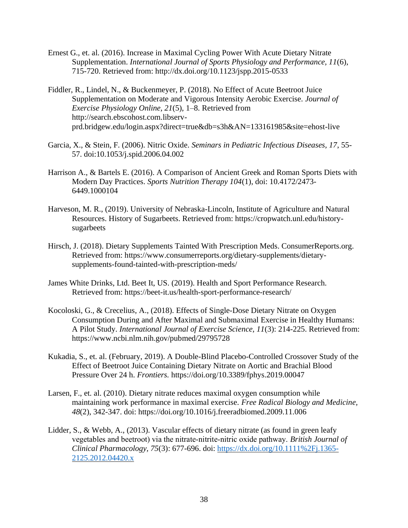- Ernest G., et. al. (2016). Increase in Maximal Cycling Power With Acute Dietary Nitrate Supplementation. *International Journal of Sports Physiology and Performance, 11*(6), 715-720. Retrieved from: http://dx.doi.org/10.1123/jspp.2015-0533
- Fiddler, R., Lindel, N., & Buckenmeyer, P. (2018). No Effect of Acute Beetroot Juice Supplementation on Moderate and Vigorous Intensity Aerobic Exercise. *Journal of Exercise Physiology Online, 21*(5), 1–8. Retrieved from http://search.ebscohost.com.libservprd.bridgew.edu/login.aspx?direct=true&db=s3h&AN=133161985&site=ehost-live
- Garcia, X., & Stein, F. (2006). Nitric Oxide. *Seminars in Pediatric Infectious Diseases, 17*, 55- 57. doi:10.1053/j.spid.2006.04.002
- Harrison A., & Bartels E. (2016). A Comparison of Ancient Greek and Roman Sports Diets with Modern Day Practices. *Sports Nutrition Therapy 104*(1), doi: 10.4172/2473- 6449.1000104
- Harveson, M. R., (2019). University of Nebraska-Lincoln, Institute of Agriculture and Natural Resources. History of Sugarbeets. Retrieved from: https://cropwatch.unl.edu/historysugarbeets
- Hirsch, J. (2018). Dietary Supplements Tainted With Prescription Meds. ConsumerReports.org. Retrieved from: https://www.consumerreports.org/dietary-supplements/dietarysupplements-found-tainted-with-prescription-meds/
- James White Drinks, Ltd. Beet It, US. (2019). Health and Sport Performance Research. Retrieved from: https://beet-it.us/health-sport-performance-research/
- Kocoloski, G., & Crecelius, A., (2018). Effects of Single-Dose Dietary Nitrate on Oxygen Consumption During and After Maximal and Submaximal Exercise in Healthy Humans: A Pilot Study. *International Journal of Exercise Science, 11*(3): 214-225. Retrieved from: <https://www.ncbi.nlm.nih.gov/pubmed/29795728>
- Kukadia, S., et. al. (February, 2019). A Double-Blind Placebo-Controlled Crossover Study of the Effect of Beetroot Juice Containing Dietary Nitrate on Aortic and Brachial Blood Pressure Over 24 h. *Frontiers.* <https://doi.org/10.3389/fphys.2019.00047>
- Larsen, F., et. al. (2010). Dietary nitrate reduces maximal oxygen consumption while maintaining work performance in maximal exercise. *Free Radical Biology and Medicine, 48*(2), 342-347. doi: https://doi.org/10.1016/j.freeradbiomed.2009.11.006
- Lidder, S., & Webb, A., (2013). Vascular effects of dietary nitrate (as found in green leafy vegetables and beetroot) via the nitrate‐nitrite‐nitric oxide pathway. *British Journal of Clinical Pharmacology, 75*(3): 677-696. doi: [https://dx.doi.org/10.1111%2Fj.1365-](https://dx.doi.org/10.1111%2Fj.1365-2125.2012.04420.x) [2125.2012.04420.x](https://dx.doi.org/10.1111%2Fj.1365-2125.2012.04420.x)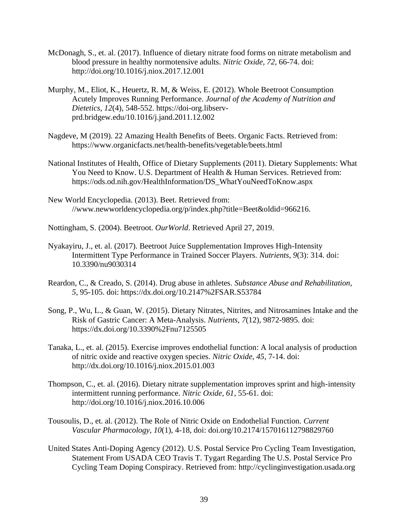- McDonagh, S., et. al. (2017). Influence of dietary nitrate food forms on nitrate metabolism and blood pressure in healthy normotensive adults. *Nitric Oxide, 72*, 66-74. doi: http://doi.org/10.1016/j.niox.2017.12.001
- Murphy, M., Eliot, K., Heuertz, R. M, & Weiss, E. (2012). Whole Beetroot Consumption Acutely Improves Running Performance. *Journal of the Academy of Nutrition and Dietetics, 12*(4), 548-552. [https://doi-org.libserv](https://doi-org.libserv-prd.bridgew.edu/10.1016/j.jand.2011.12.002)[prd.bridgew.edu/10.1016/j.jand.2011.12.002](https://doi-org.libserv-prd.bridgew.edu/10.1016/j.jand.2011.12.002)
- Nagdeve, M (2019). 22 Amazing Health Benefits of Beets. Organic Facts. Retrieved from: <https://www.organicfacts.net/health-benefits/vegetable/beets.html>
- National Institutes of Health, Office of Dietary Supplements (2011). Dietary Supplements: What You Need to Know. U.S. Department of Health & Human Services. Retrieved from: [https://ods.od.nih.gov/HealthInformation/DS\\_WhatYouNeedToKnow.aspx](https://ods.od.nih.gov/HealthInformation/DS_WhatYouNeedToKnow.aspx)
- New World Encyclopedia. (2013). Beet. Retrieved from: //www.newworldencyclopedia.org/p/index.php?title=Beet&oldid=966216.
- Nottingham, S. (2004). Beetroot. *OurWorld*. Retrieved April 27, 2019.
- Nyakayiru, J., et. al. (2017). Beetroot Juice Supplementation Improves High-Intensity Intermittent Type Performance in Trained Soccer Players. *Nutrients, 9*(3): 314. doi: 10.3390/nu9030314
- Reardon, C., & Creado, S. (2014). Drug abuse in athletes. *Substance Abuse and Rehabilitation, 5*, 95-105. doi: https://dx.doi.org/10.2147%2FSAR.S53784
- Song, P., Wu, L., & Guan, W. (2015). Dietary Nitrates, Nitrites, and Nitrosamines Intake and the Risk of Gastric Cancer: A Meta-Analysis. *Nutrients, 7*(12), 9872-9895. doi: https://dx.doi.org/10.3390%2Fnu7125505
- Tanaka, L., et. al. (2015). Exercise improves endothelial function: A local analysis of production of nitric oxide and reactive oxygen species. *Nitric Oxide, 45*, 7-14. doi: http://dx.doi.org/10.1016/j.niox.2015.01.003
- Thompson, C., et. al. (2016). Dietary nitrate supplementation improves sprint and high-intensity intermittent running performance. *Nitric Oxide, 61*, 55-61. doi: http://doi.org/10.1016/j.niox.2016.10.006
- Tousoulis, D., et. al. (2012). The Role of Nitric Oxide on Endothelial Function. *Current Vascular Pharmacology, 10*(1), 4-18, doi: doi.org/10.2174/157016112798829760
- United States Anti-Doping Agency (2012). U.S. Postal Service Pro Cycling Team Investigation, Statement From USADA CEO Travis T. Tygart Regarding The U.S. Postal Service Pro Cycling Team Doping Conspiracy. Retrieved from: http://cyclinginvestigation.usada.org